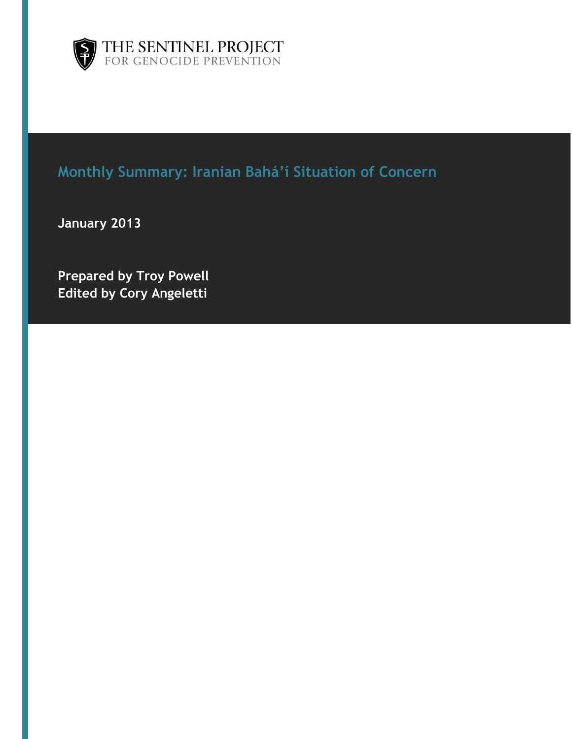



# **Monthly Summary: Iranian Bahá'í Situation of Concern**

**January 2013**

**Prepared by Troy Powell Edited by Cory Angeletti**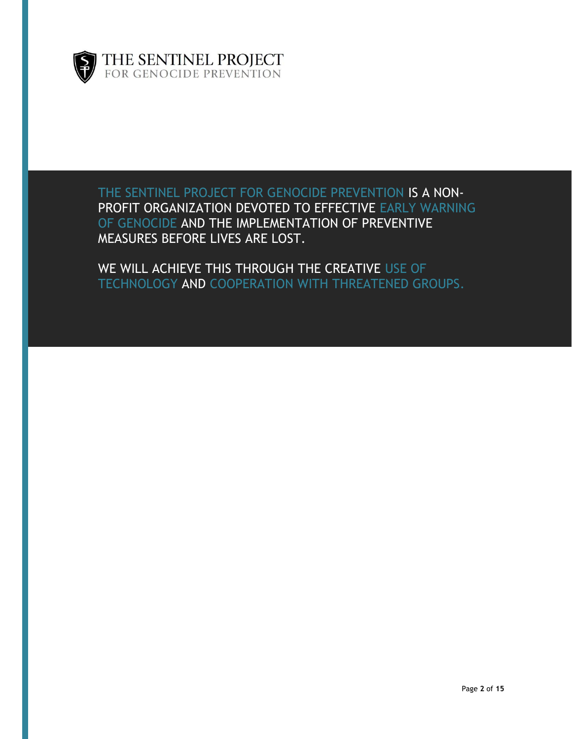

THE SENTINEL PROJECT FOR GENOCIDE PREVENTION IS A NON-PROFIT ORGANIZATION DEVOTED TO EFFECTIVE EARLY WARNING OF GENOCIDE AND THE IMPLEMENTATION OF PREVENTIVE MEASURES BEFORE LIVES ARE LOST.

WE WILL ACHIEVE THIS THROUGH THE CREATIVE USE OF TECHNOLOGY AND COOPERATION WITH THREATENED GROUPS.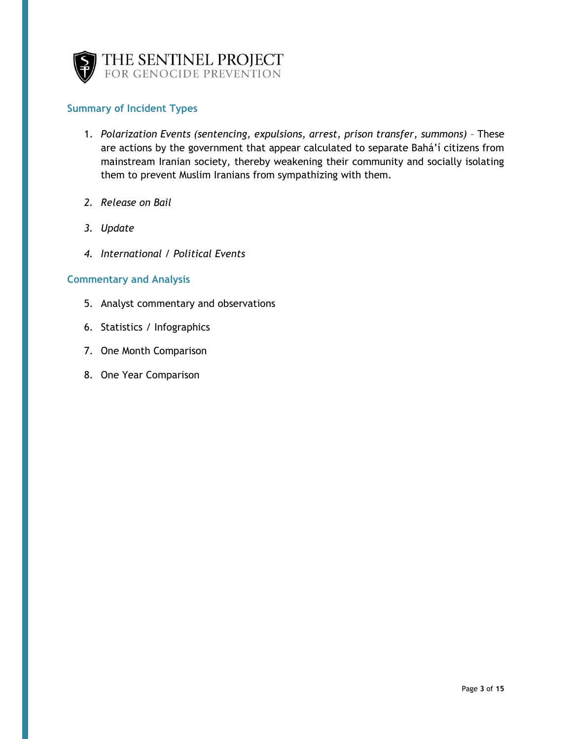

#### **Summary of Incident Types**

- 1. *Polarization Events (sentencing, expulsions, arrest, prison transfer, summons)* These are actions by the government that appear calculated to separate Bahá'í citizens from mainstream Iranian society, thereby weakening their community and socially isolating them to prevent Muslim Iranians from sympathizing with them.
- *2. Release on Bail*
- *3. Update*
- *4. International / Political Events*

#### **Commentary and Analysis**

- 5. Analyst commentary and observations
- 6. Statistics / Infographics
- 7. One Month Comparison
- 8. One Year Comparison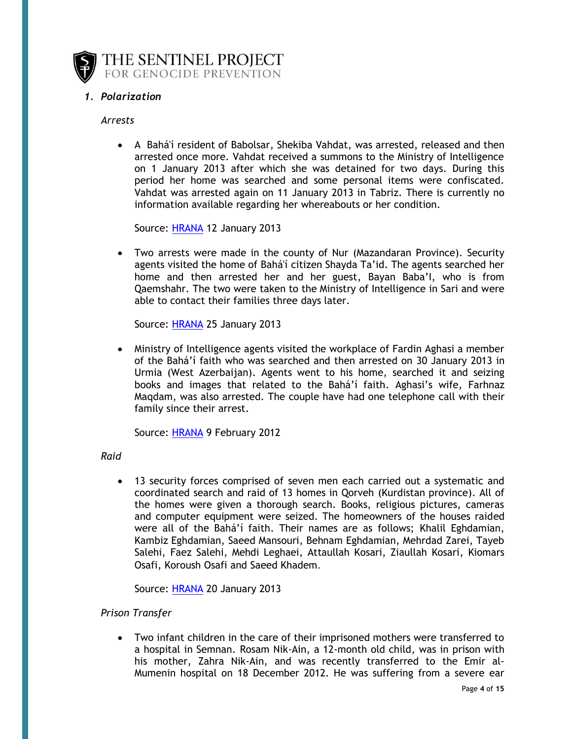

#### *1. Polarization*

#### *Arrests*

 A Bahá'í resident of Babolsar, Shekiba Vahdat, was arrested, released and then arrested once more. Vahdat received a summons to the Ministry of Intelligence on 1 January 2013 after which she was detained for two days. During this period her home was searched and some personal items were confiscated. Vahdat was arrested again on 11 January 2013 in Tabriz. There is currently no information available regarding her whereabouts or her condition.

Source: [HRANA](http://wp.me/pNMoJ-1Cb) 12 January 2013

 Two arrests were made in the county of Nur (Mazandaran Province). Security agents visited the home of Bahá'í citizen Shayda Ta'id. The agents searched her home and then arrested her and her guest, Bayan Baba'I, who is from Qaemshahr. The two were taken to the Ministry of Intelligence in Sari and were able to contact their families three days later.

Source: [HRANA](http://wp.me/pNMoJ-1D0) 25 January 2013

 Ministry of Intelligence agents visited the workplace of Fardin Aghasi a member of the Bahá'í faith who was searched and then arrested on 30 January 2013 in Urmia (West Azerbaijan). Agents went to his home, searched it and seizing books and images that related to the Bahá'í faith. Aghasi's wife, Farhnaz Maqdam, was also arrested. The couple have had one telephone call with their family since their arrest.

Source: [HRANA](http://wp.me/pNMoJ-1E7) 9 February 2012

#### *Raid*

 13 security forces comprised of seven men each carried out a systematic and coordinated search and raid of 13 homes in Qorveh (Kurdistan province). All of the homes were given a thorough search. Books, religious pictures, cameras and computer equipment were seized. The homeowners of the houses raided were all of the Bahá'í faith. Their names are as follows; Khalil Eghdamian, Kambiz Eghdamian, Saeed Mansouri, Behnam Eghdamian, Mehrdad Zarei, Tayeb Salehi, Faez Salehi, Mehdi Leghaei, Attaullah Kosari, Ziaullah Kosari, Kiomars Osafi, Koroush Osafi and Saeed Khadem.

Source: [HRANA](http://hra-news.org/263/best/14726-1.html) 20 January 2013

#### *Prison Transfer*

 Two infant children in the care of their imprisoned mothers were transferred to a hospital in Semnan. Rosam Nik-Ain, a 12-month old child, was in prison with his mother, Zahra Nik-Ain, and was recently transferred to the Emir al-Mumenin hospital on 18 December 2012. He was suffering from a severe ear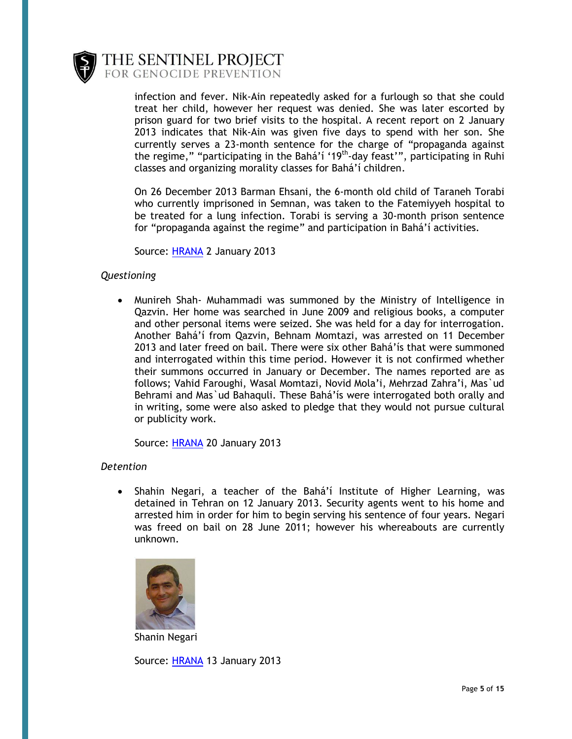

> infection and fever. Nik-Ain repeatedly asked for a furlough so that she could treat her child, however her request was denied. She was later escorted by prison guard for two brief visits to the hospital. A recent report on 2 January 2013 indicates that Nik-Ain was given five days to spend with her son. She currently serves a 23-month sentence for the charge of "propaganda against the regime," "participating in the Bahá'í '19<sup>th</sup>-day feast'", participating in Ruhi classes and organizing morality classes for Bahá'í children.

> On 26 December 2013 Barman Ehsani, the 6-month old child of Taraneh Torabi who currently imprisoned in Semnan, was taken to the Fatemiyyeh hospital to be treated for a lung infection. Torabi is serving a 30-month prison sentence for "propaganda against the regime" and participation in Bahá'í activities.

Source: [HRANA](http://wp.me/pNMoJ-1B9) 2 January 2013

#### *Questioning*

 Munireh Shah- Muhammadi was summoned by the Ministry of Intelligence in Qazvin. Her home was searched in June 2009 and religious books, a computer and other personal items were seized. She was held for a day for interrogation. Another Bahá'í from Qazvin, Behnam Momtazi, was arrested on 11 December 2013 and later freed on bail. There were six other Bahá'ís that were summoned and interrogated within this time period. However it is not confirmed whether their summons occurred in January or December. The names reported are as follows; Vahid Faroughi, Wasal Momtazi, Novid Mola'i, Mehrzad Zahra'i, Mas`ud Behrami and Mas`ud Bahaquli. These Bahá'ís were interrogated both orally and in writing, some were also asked to pledge that they would not pursue cultural or publicity work.

Source: [HRANA](http://wp.me/pNMoJ-1CI) 20 January 2013

#### *Detention*

• Shahin Negari, a teacher of the Bahá'í Institute of Higher Learning, was detained in Tehran on 12 January 2013. Security agents went to his home and arrested him in order for him to begin serving his sentence of four years. Negari was freed on bail on 28 June 2011; however his whereabouts are currently unknown.



Shanin Negari

Source: [HRANA](http://wp.me/pNMoJ-1Ct) 13 January 2013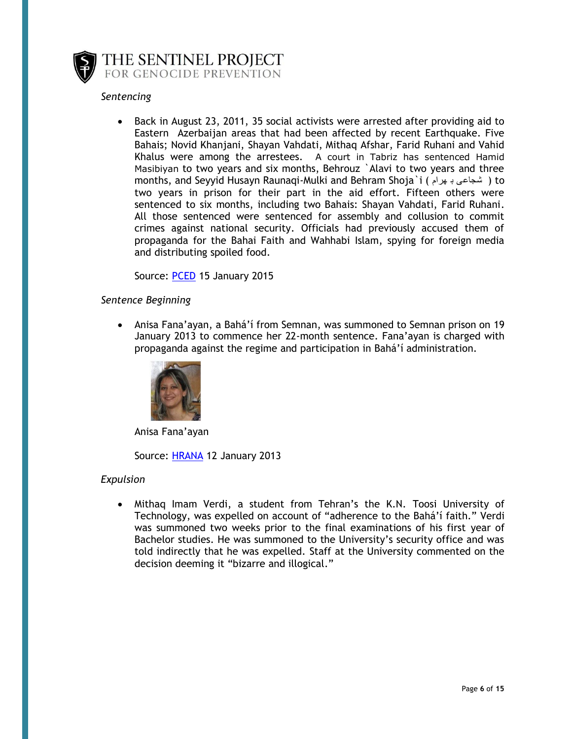

#### *Sentencing*

 Back in August 23, 2011, 35 social activists were arrested after providing aid to Eastern Azerbaijan areas that had been affected by recent Earthquake. Five Bahais; Novid Khanjani, Shayan Vahdati, Mithaq Afshar, Farid Ruhani and Vahid Khalus were among the arrestees. A court in Tabriz has sentenced Hamid Masibiyan to two years and six months, Behrouz `Alavi to two years and three months, and Seyyid Husayn Raunaqi-Mulki and Behram Shoja`i ( هرام ب شجاعی ( to two years in prison for their part in the aid effort. Fifteen others were sentenced to six months, including two Bahais: Shayan Vahdati, Farid Ruhani. All those sentenced were sentenced for assembly and collusion to commit crimes against national security. Officials had previously accused them of propaganda for the Bahai Faith and Wahhabi Islam, spying for foreign media and distributing spoiled food.

Source: [PCED](http://wp.me/pNMoJ-1Cx) 15 January 2015

#### *Sentence Beginning*

 Anisa Fana'ayan, a Bahá'í from Semnan, was summoned to Semnan prison on 19 January 2013 to commence her 22-month sentence. Fana'ayan is charged with propaganda against the regime and participation in Bahá'í administration.



Anisa Fana'ayan

Source: [HRANA](http://wp.me/pNMoJ-1C6) 12 January 2013

#### *Expulsion*

 Mithaq Imam Verdi, a student from Tehran's the K.N. Toosi University of Technology, was expelled on account of "adherence to the Bahá'í faith." Verdi was summoned two weeks prior to the final examinations of his first year of Bachelor studies. He was summoned to the University's security office and was told indirectly that he was expelled. Staff at the University commented on the decision deeming it "bizarre and illogical."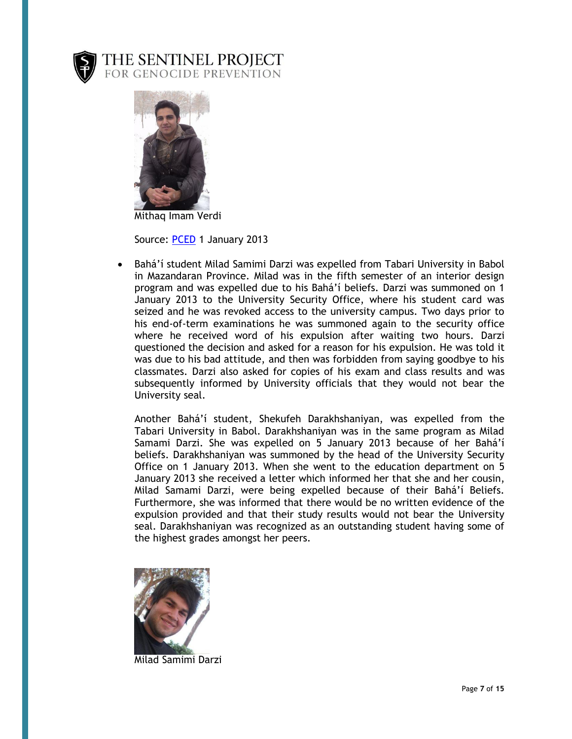



Mithaq Imam Verdi

Source: [PCED](http://wp.me/pNMoJ-1Bl) 1 January 2013

 Bahá'í student Milad Samimi Darzi was expelled from Tabari University in Babol in Mazandaran Province. Milad was in the fifth semester of an interior design program and was expelled due to his Bahá'í beliefs. Darzi was summoned on 1 January 2013 to the University Security Office, where his student card was seized and he was revoked access to the university campus. Two days prior to his end-of-term examinations he was summoned again to the security office where he received word of his expulsion after waiting two hours. Darzi questioned the decision and asked for a reason for his expulsion. He was told it was due to his bad attitude, and then was forbidden from saying goodbye to his classmates. Darzi also asked for copies of his exam and class results and was subsequently informed by University officials that they would not bear the University seal.

Another Bahá'í student, Shekufeh Darakhshaniyan, was expelled from the Tabari University in Babol. Darakhshaniyan was in the same program as Milad Samami Darzi. She was expelled on 5 January 2013 because of her Bahá'í beliefs. Darakhshaniyan was summoned by the head of the University Security Office on 1 January 2013. When she went to the education department on 5 January 2013 she received a letter which informed her that she and her cousin, Milad Samami Darzi, were being expelled because of their Bahá'í Beliefs. Furthermore, she was informed that there would be no written evidence of the expulsion provided and that their study results would not bear the University seal. Darakhshaniyan was recognized as an outstanding student having some of the highest grades amongst her peers.



Milad Samimi Darzi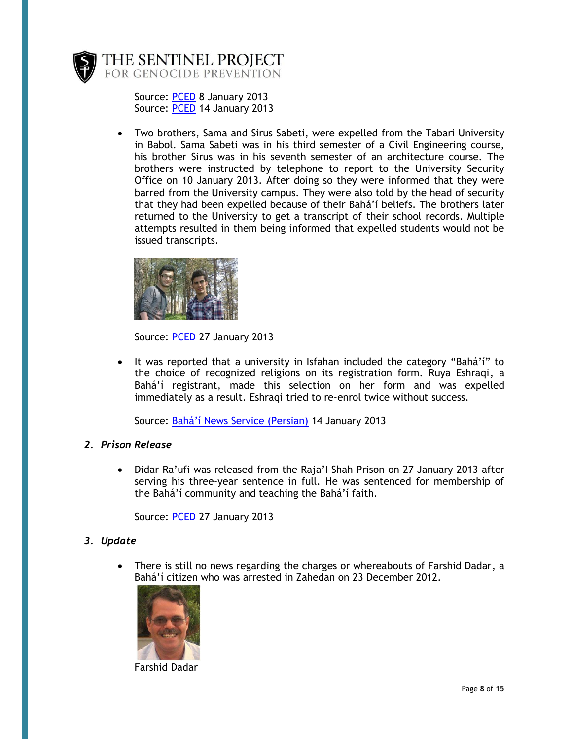

> Source: [PCED](http://wp.me/pNMoJ-1BR) 8 January 2013 Source: [PCED](http://wp.me/pNMoJ-1Cn) 14 January 2013

 Two brothers, Sama and Sirus Sabeti, were expelled from the Tabari University in Babol. Sama Sabeti was in his third semester of a Civil Engineering course, his brother Sirus was in his seventh semester of an architecture course. The brothers were instructed by telephone to report to the University Security Office on 10 January 2013. After doing so they were informed that they were barred from the University campus. They were also told by the head of security that they had been expelled because of their Bahá'í beliefs. The brothers later returned to the University to get a transcript of their school records. Multiple attempts resulted in them being informed that expelled students would not be issued transcripts.



Source: [PCED](http://wp.me/pNMoJ-1D9) 27 January 2013

 It was reported that a university in Isfahan included the category "Bahá'í" to the choice of recognized religions on its registration form. Ruya Eshraqi, a Bahá'í registrant, made this selection on her form and was expelled immediately as a result. Eshraqi tried to re-enrol twice without success.

Source: [Bahá'í News Service \(Persian\)](http://wp.me/pNMoJ-1Dh) 14 January 2013

#### *2. Prison Release*

 Didar Ra'ufi was released from the Raja'I Shah Prison on 27 January 2013 after serving his three-year sentence in full. He was sentenced for membership of the Bahá'í community and teaching the Bahá'í faith.

Source: [PCED](http://wp.me/pNMoJ-1D5) 27 January 2013

#### *3. Update*

 There is still no news regarding the charges or whereabouts of Farshid Dadar, a Bahá'í citizen who was arrested in Zahedan on 23 December 2012.



Farshid Dadar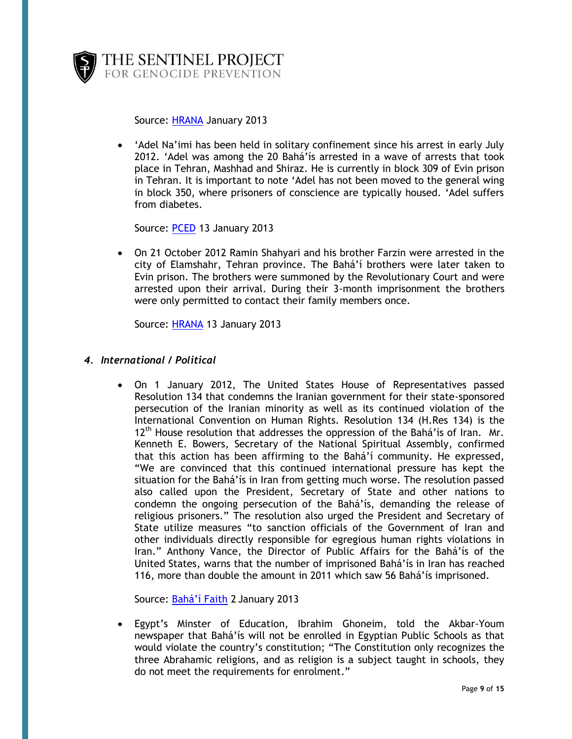

Source: [HRANA](http://wp.me/pNMoJ-1C1) January 2013

 'Adel Na'imi has been held in solitary confinement since his arrest in early July 2012. 'Adel was among the 20 Bahá'ís arrested in a wave of arrests that took place in Tehran, Mashhad and Shiraz. He is currently in block 309 of Evin prison in Tehran. It is important to note 'Adel has not been moved to the general wing in block 350, where prisoners of conscience are typically housed. 'Adel suffers from diabetes.

Source: [PCED](http://wp.me/pNMoJ-1Cf) 13 January 2013

 On 21 October 2012 Ramin Shahyari and his brother Farzin were arrested in the city of Elamshahr, Tehran province. The Bahá'í brothers were later taken to Evin prison. The brothers were summoned by the Revolutionary Court and were arrested upon their arrival. During their 3-month imprisonment the brothers were only permitted to contact their family members once.

Source: [HRANA](http://wp.me/pNMoJ-1Cj) 13 January 2013

#### *4. International / Political*

 On 1 January 2012, The United States House of Representatives passed Resolution 134 that condemns the Iranian government for their state-sponsored persecution of the Iranian minority as well as its continued violation of the International Convention on Human Rights. Resolution 134 (H.Res 134) is the  $12<sup>th</sup>$  House resolution that addresses the oppression of the Bahá'ís of Iran. Mr. Kenneth E. Bowers, Secretary of the National Spiritual Assembly, confirmed that this action has been affirming to the Bahá'í community. He expressed, "We are convinced that this continued international pressure has kept the situation for the Bahá'ís in Iran from getting much worse. The resolution passed also called upon the President, Secretary of State and other nations to condemn the ongoing persecution of the Bahá'ís, demanding the release of religious prisoners." The resolution also urged the President and Secretary of State utilize measures "to sanction officials of the Government of Iran and other individuals directly responsible for egregious human rights violations in Iran." Anthony Vance, the Director of Public Affairs for the Bahá'ís of the United States, warns that the number of imprisoned Bahá'ís in Iran has reached 116, more than double the amount in 2011 which saw 56 Bahá'ís imprisoned.

Source: [Bahá'í Faith](http://iran.bahai.us/2013/01/02/u-s-house-of-representatives-passes-resolution-134-condemning-the-persecution-of-baha%E2%80%99is-in-iran/) 2 January 2013

 Egypt's Minster of Education, Ibrahim Ghoneim, told the Akbar-Youm newspaper that Bahá'ís will not be enrolled in Egyptian Public Schools as that would violate the country's constitution; "The Constitution only recognizes the three Abrahamic religions, and as religion is a subject taught in schools, they do not meet the requirements for enrolment."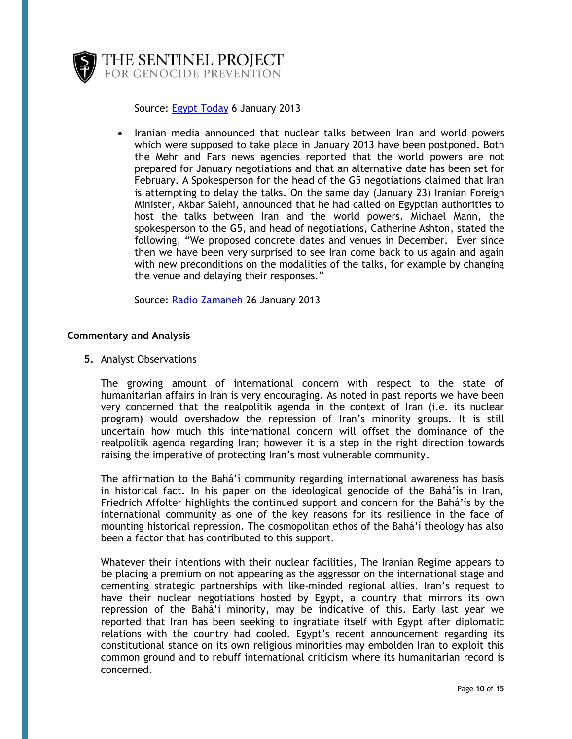

Source: [Egypt Today](http://wp.me/pNMoJ-1BH) 6 January 2013

• Iranian media announced that nuclear talks between Iran and world powers which were supposed to take place in January 2013 have been postponed. Both the Mehr and Fars news agencies reported that the world powers are not prepared for January negotiations and that an alternative date has been set for February. A Spokesperson for the head of the G5 negotiations claimed that Iran is attempting to delay the talks. On the same day (January 23) Iranian Foreign Minister, Akbar Salehi, announced that he had called on Egyptian authorities to host the talks between Iran and the world powers. Michael Mann, the spokesperson to the G5, and head of negotiations, Catherine Ashton, stated the following, "We proposed concrete dates and venues in December. Ever since then we have been very surprised to see Iran come back to us again and again with new preconditions on the modalities of the talks, for example by changing the venue and delaying their responses."

Source: [Radio Zamaneh](http://www.radiozamaneh.com/english/content/nuclear-talks-delayed-until-next-month) 26 January 2013

#### **Commentary and Analysis**

**5.** Analyst Observations

The growing amount of international concern with respect to the state of humanitarian affairs in Iran is very encouraging. As noted in past reports we have been very concerned that the realpolitik agenda in the context of Iran (i.e. its nuclear program) would overshadow the repression of Iran's minority groups. It is still uncertain how much this international concern will offset the dominance of the realpolitik agenda regarding Iran; however it is a step in the right direction towards raising the imperative of protecting Iran's most vulnerable community.

The affirmation to the Bahá'í community regarding international awareness has basis in historical fact. In his paper on the ideological genocide of the Bahá'ís in Iran, Friedrich Affolter highlights the continued support and concern for the Bahá'ís by the international community as one of the key reasons for its resilience in the face of mounting historical repression. The cosmopolitan ethos of the Bahá'í theology has also been a factor that has contributed to this support.

Whatever their intentions with their nuclear facilities, The Iranian Regime appears to be placing a premium on not appearing as the aggressor on the international stage and cementing strategic partnerships with like-minded regional allies. Iran's request to have their nuclear negotiations hosted by Egypt, a country that mirrors its own repression of the Bahá'í minority, may be indicative of this. Early last year we reported that Iran has been seeking to ingratiate itself with Egypt after diplomatic relations with the country had cooled. Egypt's recent announcement regarding its constitutional stance on its own religious minorities may embolden Iran to exploit this common ground and to rebuff international criticism where its humanitarian record is concerned.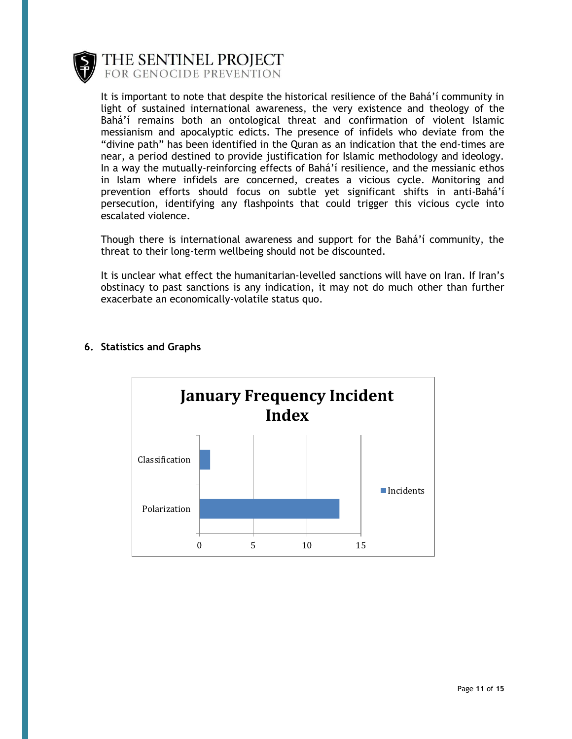

It is important to note that despite the historical resilience of the Bahá'í community in light of sustained international awareness, the very existence and theology of the Bahá'í remains both an ontological threat and confirmation of violent Islamic messianism and apocalyptic edicts. The presence of infidels who deviate from the "divine path" has been identified in the Quran as an indication that the end-times are near, a period destined to provide justification for Islamic methodology and ideology. In a way the mutually-reinforcing effects of Bahá'í resilience, and the messianic ethos in Islam where infidels are concerned, creates a vicious cycle. Monitoring and prevention efforts should focus on subtle yet significant shifts in anti-Bahá'í persecution, identifying any flashpoints that could trigger this vicious cycle into escalated violence.

Though there is international awareness and support for the Bahá'í community, the threat to their long-term wellbeing should not be discounted.

It is unclear what effect the humanitarian-levelled sanctions will have on Iran. If Iran's obstinacy to past sanctions is any indication, it may not do much other than further exacerbate an economically-volatile status quo.



#### **6. Statistics and Graphs**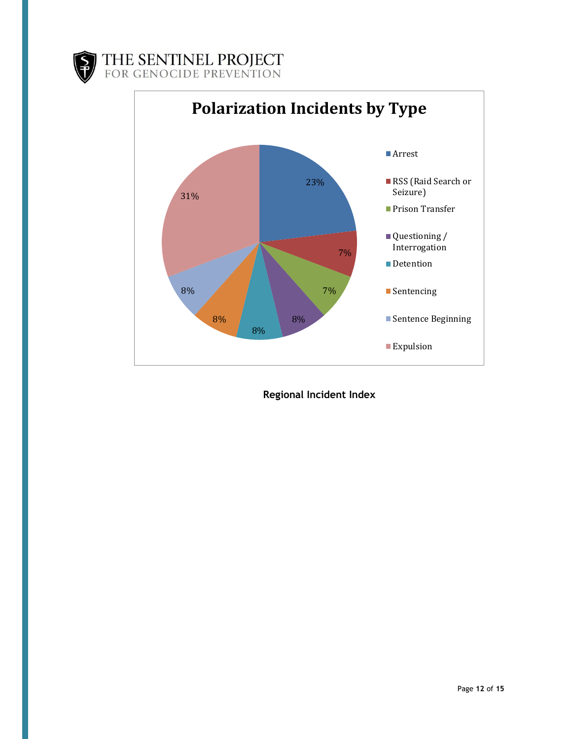



**Regional Incident Index**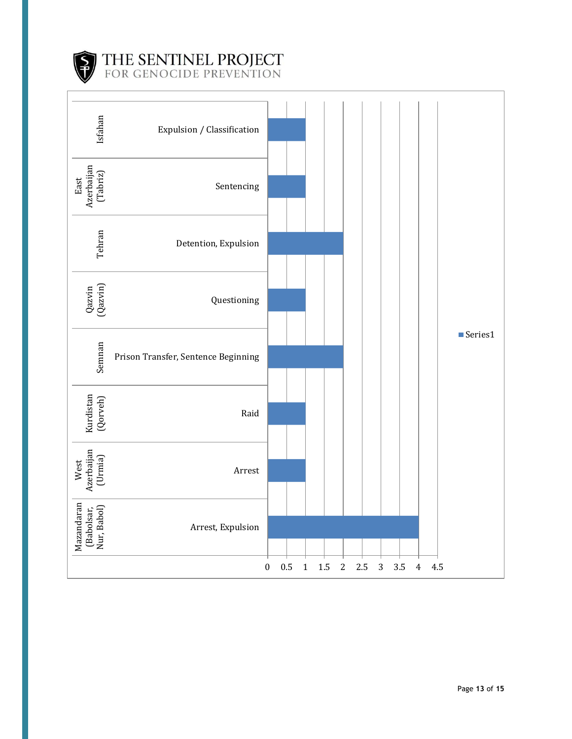

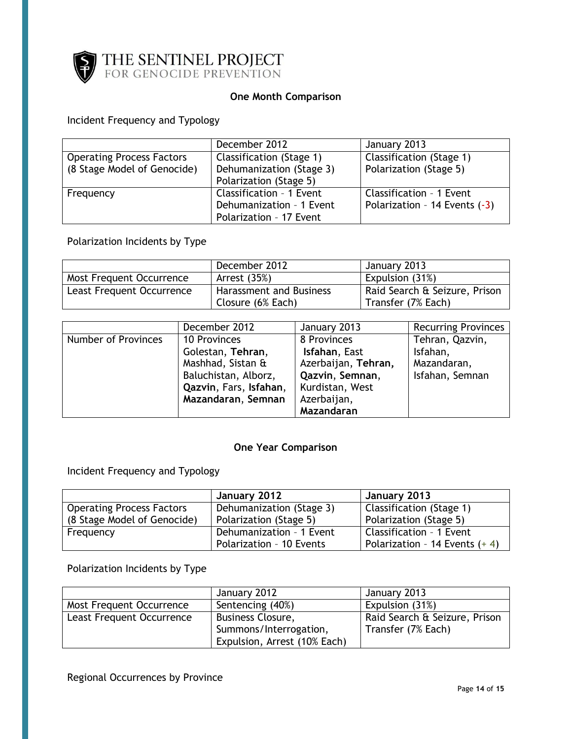

### **One Month Comparison**

# Incident Frequency and Typology

|                                  | December 2012                   | January 2013                  |
|----------------------------------|---------------------------------|-------------------------------|
| <b>Operating Process Factors</b> | <b>Classification (Stage 1)</b> | Classification (Stage 1)      |
| (8 Stage Model of Genocide)      | Dehumanization (Stage 3)        | Polarization (Stage 5)        |
|                                  | Polarization (Stage 5)          |                               |
| Frequency                        | Classification - 1 Event        | Classification - 1 Event      |
|                                  | Dehumanization - 1 Event        | Polarization - 14 Events (-3) |
|                                  | Polarization - 17 Event         |                               |

# Polarization Incidents by Type

|                           | December 2012           | January 2013                  |
|---------------------------|-------------------------|-------------------------------|
| Most Frequent Occurrence  | Arrest (35%)            | Expulsion (31%)               |
| Least Frequent Occurrence | Harassment and Business | Raid Search & Seizure, Prison |
|                           | Closure (6% Each)       | Transfer (7% Each)            |

|                     | December 2012          | January 2013        | <b>Recurring Provinces</b> |
|---------------------|------------------------|---------------------|----------------------------|
| Number of Provinces | 10 Provinces           | 8 Provinces         | Tehran, Qazvin,            |
|                     | Golestan, Tehran,      | Isfahan, East       | Isfahan,                   |
|                     | Mashhad, Sistan &      | Azerbaijan, Tehran, | Mazandaran,                |
|                     | Baluchistan, Alborz,   | Qazvin, Semnan,     | Isfahan, Semnan            |
|                     | Qazvin, Fars, Isfahan, | Kurdistan, West     |                            |
|                     | Mazandaran, Semnan     | Azerbaijan,         |                            |
|                     |                        | Mazandaran          |                            |

#### **One Year Comparison**

# Incident Frequency and Typology

|                                  | January 2012             | January 2013                    |
|----------------------------------|--------------------------|---------------------------------|
| <b>Operating Process Factors</b> | Dehumanization (Stage 3) | Classification (Stage 1)        |
| (8 Stage Model of Genocide)      | Polarization (Stage 5)   | Polarization (Stage 5)          |
| Frequency                        | Dehumanization - 1 Event | Classification - 1 Event        |
|                                  | Polarization - 10 Events | Polarization - 14 Events $(+4)$ |

## Polarization Incidents by Type

|                           | January 2012                 | January 2013                  |
|---------------------------|------------------------------|-------------------------------|
| Most Frequent Occurrence  | Sentencing (40%)             | Expulsion (31%)               |
| Least Frequent Occurrence | <b>Business Closure,</b>     | Raid Search & Seizure, Prison |
|                           | Summons/Interrogation,       | Transfer (7% Each)            |
|                           | Expulsion, Arrest (10% Each) |                               |